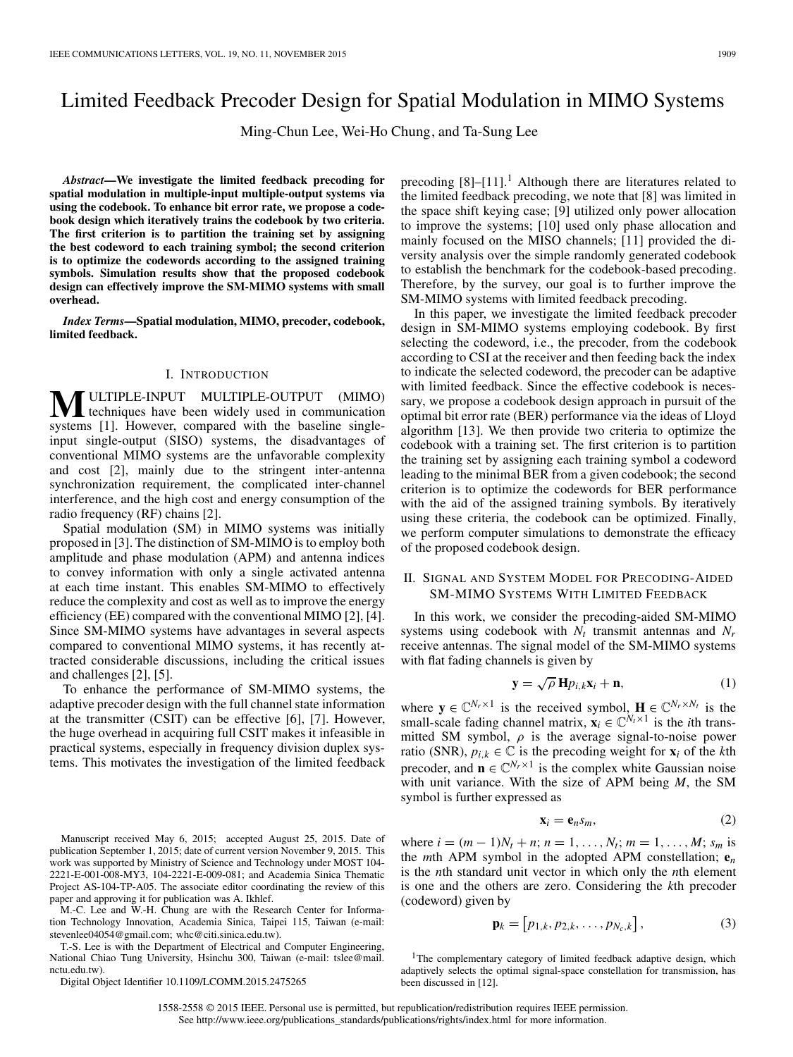# Limited Feedback Precoder Design for Spatial Modulation in MIMO Systems

Ming-Chun Lee, Wei-Ho Chung, and Ta-Sung Lee

*Abstract***—We investigate the limited feedback precoding for spatial modulation in multiple-input multiple-output systems via using the codebook. To enhance bit error rate, we propose a codebook design which iteratively trains the codebook by two criteria. The first criterion is to partition the training set by assigning the best codeword to each training symbol; the second criterion is to optimize the codewords according to the assigned training symbols. Simulation results show that the proposed codebook design can effectively improve the SM-MIMO systems with small overhead.**

*Index Terms***—Spatial modulation, MIMO, precoder, codebook, limited feedback.**

## I. INTRODUCTION

**M**ULTIPLE-INPUT MULTIPLE-OUTPUT (MIMO)<br>existence [1] Houveur compared with the besoline single systems [1]. However, compared with the baseline singleinput single-output (SISO) systems, the disadvantages of conventional MIMO systems are the unfavorable complexity and cost [2], mainly due to the stringent inter-antenna synchronization requirement, the complicated inter-channel interference, and the high cost and energy consumption of the radio frequency (RF) chains [2].

Spatial modulation (SM) in MIMO systems was initially proposed in [3]. The distinction of SM-MIMO is to employ both amplitude and phase modulation (APM) and antenna indices to convey information with only a single activated antenna at each time instant. This enables SM-MIMO to effectively reduce the complexity and cost as well as to improve the energy efficiency (EE) compared with the conventional MIMO [2], [4]. Since SM-MIMO systems have advantages in several aspects compared to conventional MIMO systems, it has recently attracted considerable discussions, including the critical issues and challenges [2], [5].

To enhance the performance of SM-MIMO systems, the adaptive precoder design with the full channel state information at the transmitter (CSIT) can be effective [6], [7]. However, the huge overhead in acquiring full CSIT makes it infeasible in practical systems, especially in frequency division duplex systems. This motivates the investigation of the limited feedback

Manuscript received May 6, 2015; accepted August 25, 2015. Date of publication September 1, 2015; date of current version November 9, 2015. This work was supported by Ministry of Science and Technology under MOST 104- 2221-E-001-008-MY3, 104-2221-E-009-081; and Academia Sinica Thematic Project AS-104-TP-A05. The associate editor coordinating the review of this paper and approving it for publication was A. Ikhlef.

M.-C. Lee and W.-H. Chung are with the Research Center for Information Technology Innovation, Academia Sinica, Taipei 115, Taiwan (e-mail: stevenlee04054@gmail.com; whc@citi.sinica.edu.tw).

T.-S. Lee is with the Department of Electrical and Computer Engineering, National Chiao Tung University, Hsinchu 300, Taiwan (e-mail: tslee@mail. nctu.edu.tw).

Digital Object Identifier 10.1109/LCOMM.2015.2475265

precoding  $[8]-[11]$ <sup>1</sup>. Although there are literatures related to the limited feedback precoding, we note that [8] was limited in the space shift keying case; [9] utilized only power allocation to improve the systems; [10] used only phase allocation and mainly focused on the MISO channels; [11] provided the diversity analysis over the simple randomly generated codebook to establish the benchmark for the codebook-based precoding. Therefore, by the survey, our goal is to further improve the SM-MIMO systems with limited feedback precoding.

In this paper, we investigate the limited feedback precoder design in SM-MIMO systems employing codebook. By first selecting the codeword, i.e., the precoder, from the codebook according to CSI at the receiver and then feeding back the index to indicate the selected codeword, the precoder can be adaptive with limited feedback. Since the effective codebook is necessary, we propose a codebook design approach in pursuit of the optimal bit error rate (BER) performance via the ideas of Lloyd algorithm [13]. We then provide two criteria to optimize the codebook with a training set. The first criterion is to partition the training set by assigning each training symbol a codeword leading to the minimal BER from a given codebook; the second criterion is to optimize the codewords for BER performance with the aid of the assigned training symbols. By iteratively using these criteria, the codebook can be optimized. Finally, we perform computer simulations to demonstrate the efficacy of the proposed codebook design.

## II. SIGNAL AND SYSTEM MODEL FOR PRECODING-AIDED SM-MIMO SYSTEMS WITH LIMITED FEEDBACK

In this work, we consider the precoding-aided SM-MIMO systems using codebook with  $N_t$  transmit antennas and  $N_r$ receive antennas. The signal model of the SM-MIMO systems with flat fading channels is given by

$$
\mathbf{y} = \sqrt{\rho} \, \mathbf{H} p_{i,k} \mathbf{x}_i + \mathbf{n}, \tag{1}
$$

where  $y \in \mathbb{C}^{N_r \times 1}$  is the received symbol,  $H \in \mathbb{C}^{N_r \times N_t}$  is the small-scale fading channel matrix,  $\mathbf{x}_i \in \mathbb{C}^{N_t \times 1}$  is the *i*th transmitted SM symbol,  $\rho$  is the average signal-to-noise power ratio (SNR),  $p_{i,k} \in \mathbb{C}$  is the precoding weight for  $\mathbf{x}_i$  of the *k*th precoder, and  $\mathbf{n} \in \mathbb{C}^{N_r \times 1}$  is the complex white Gaussian noise with unit variance. With the size of APM being *M*, the SM symbol is further expressed as

$$
\mathbf{x}_i = \mathbf{e}_n s_m,\tag{2}
$$

where  $i = (m - 1)N_t + n$ ;  $n = 1, ..., N_t$ ;  $m = 1, ..., M$ ;  $s_m$  is the *m*th APM symbol in the adopted APM constellation; **e***<sup>n</sup>* is the *n*th standard unit vector in which only the *n*th element is one and the others are zero. Considering the *k*th precoder (codeword) given by

$$
\mathbf{p}_k = [p_{1,k}, p_{2,k}, \dots, p_{N_c,k}], \tag{3}
$$

<sup>1</sup>The complementary category of limited feedback adaptive design, which adaptively selects the optimal signal-space constellation for transmission, has been discussed in [12].

1558-2558 © 2015 IEEE. Personal use is permitted, but republication/redistribution requires IEEE permission. See http://www.ieee.org/publications\_standards/publications/rights/index.html for more information.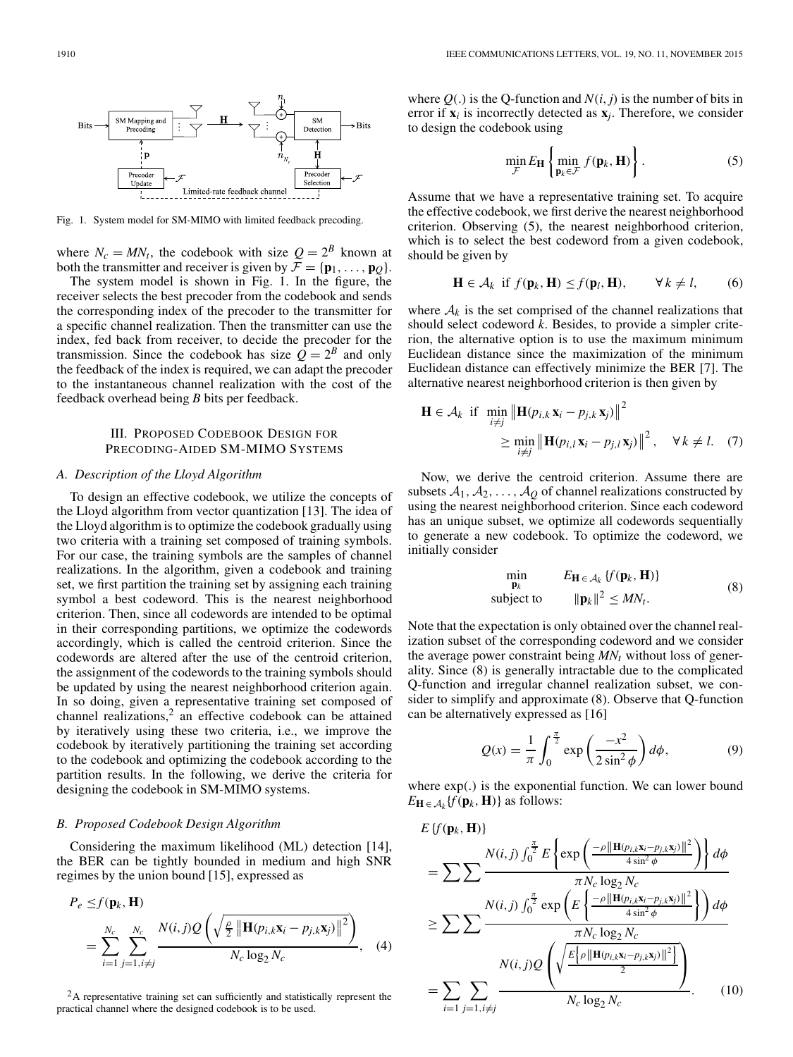

Fig. 1. System model for SM-MIMO with limited feedback precoding.

where  $N_c = MN_t$ , the codebook with size  $Q = 2^B$  known at both the transmitter and receiver is given by  $\mathcal{F} = {\mathbf{p}_1, \ldots, \mathbf{p}_O}$ .

The system model is shown in Fig. 1. In the figure, the receiver selects the best precoder from the codebook and sends the corresponding index of the precoder to the transmitter for a specific channel realization. Then the transmitter can use the index, fed back from receiver, to decide the precoder for the transmission. Since the codebook has size  $\overline{Q} = 2^B$  and only the feedback of the index is required, we can adapt the precoder to the instantaneous channel realization with the cost of the feedback overhead being *B* bits per feedback.

## III. PROPOSED CODEBOOK DESIGN FOR PRECODING-AIDED SM-MIMO SYSTEMS

#### *A. Description of the Lloyd Algorithm*

To design an effective codebook, we utilize the concepts of the Lloyd algorithm from vector quantization [13]. The idea of the Lloyd algorithm is to optimize the codebook gradually using two criteria with a training set composed of training symbols. For our case, the training symbols are the samples of channel realizations. In the algorithm, given a codebook and training set, we first partition the training set by assigning each training symbol a best codeword. This is the nearest neighborhood criterion. Then, since all codewords are intended to be optimal in their corresponding partitions, we optimize the codewords accordingly, which is called the centroid criterion. Since the codewords are altered after the use of the centroid criterion, the assignment of the codewords to the training symbols should be updated by using the nearest neighborhood criterion again. In so doing, given a representative training set composed of channel realizations, $2$  an effective codebook can be attained by iteratively using these two criteria, i.e., we improve the codebook by iteratively partitioning the training set according to the codebook and optimizing the codebook according to the partition results. In the following, we derive the criteria for designing the codebook in SM-MIMO systems.

#### *B. Proposed Codebook Design Algorithm*

Considering the maximum likelihood (ML) detection [14], the BER can be tightly bounded in medium and high SNR regimes by the union bound [15], expressed as

$$
P_e \leq f(\mathbf{p}_k, \mathbf{H})
$$
  
= 
$$
\sum_{i=1}^{N_c} \sum_{j=1, i \neq j}^{N_c} \frac{N(i,j)Q\left(\sqrt{\frac{\rho}{2} \left\|\mathbf{H}(p_{i,k}\mathbf{x}_i - p_{j,k}\mathbf{x}_j)\right\|^2}\right)}{N_c \log_2 N_c}, \quad (4)
$$

<sup>2</sup>A representative training set can sufficiently and statistically represent the practical channel where the designed codebook is to be used.

where  $Q(.)$  is the Q-function and  $N(i, j)$  is the number of bits in error if  $\mathbf{x}_i$  is incorrectly detected as  $\mathbf{x}_i$ . Therefore, we consider to design the codebook using

$$
\min_{\mathcal{F}} E_{\mathbf{H}} \left\{ \min_{\mathbf{p}_k \in \mathcal{F}} f(\mathbf{p}_k, \mathbf{H}) \right\}.
$$
 (5)

Assume that we have a representative training set. To acquire the effective codebook, we first derive the nearest neighborhood criterion. Observing (5), the nearest neighborhood criterion, which is to select the best codeword from a given codebook, should be given by

$$
\mathbf{H} \in \mathcal{A}_k \text{ if } f(\mathbf{p}_k, \mathbf{H}) \le f(\mathbf{p}_l, \mathbf{H}), \qquad \forall k \ne l, \qquad (6)
$$

where  $A_k$  is the set comprised of the channel realizations that should select codeword *k*. Besides, to provide a simpler criterion, the alternative option is to use the maximum minimum Euclidean distance since the maximization of the minimum Euclidean distance can effectively minimize the BER [7]. The alternative nearest neighborhood criterion is then given by

$$
\mathbf{H} \in \mathcal{A}_k \text{ if } \min_{i \neq j} \left\| \mathbf{H}(p_{i,k} \mathbf{x}_i - p_{j,k} \mathbf{x}_j) \right\|^2
$$
  
\n
$$
\geq \min_{i \neq j} \left\| \mathbf{H}(p_{i,l} \mathbf{x}_i - p_{j,l} \mathbf{x}_j) \right\|^2, \quad \forall k \neq l. \quad (7)
$$

Now, we derive the centroid criterion. Assume there are subsets  $A_1, A_2, \ldots, A_O$  of channel realizations constructed by using the nearest neighborhood criterion. Since each codeword has an unique subset, we optimize all codewords sequentially to generate a new codebook. To optimize the codeword, we initially consider

$$
\min_{\mathbf{p}_k} \qquad E_{\mathbf{H} \in \mathcal{A}_k} \{f(\mathbf{p}_k, \mathbf{H})\}
$$
\n
$$
\text{subject to} \qquad \|\mathbf{p}_k\|^2 \leq MN_t. \tag{8}
$$

Note that the expectation is only obtained over the channel realization subset of the corresponding codeword and we consider the average power constraint being  $MN_t$  without loss of generality. Since (8) is generally intractable due to the complicated Q-function and irregular channel realization subset, we consider to simplify and approximate (8). Observe that Q-function can be alternatively expressed as [16]

$$
Q(x) = \frac{1}{\pi} \int_0^{\frac{\pi}{2}} \exp\left(\frac{-x^2}{2\sin^2\phi}\right) d\phi, \tag{9}
$$

where exp(.) is the exponential function. We can lower bound  $E_{\mathbf{H}} \in A_k \{f(\mathbf{p}_k, \mathbf{H})\}$  as follows:

$$
E\{f(\mathbf{p}_{k}, \mathbf{H})\}
$$
\n
$$
= \sum \sum \frac{N(i, j) \int_{0}^{\frac{\pi}{2}} E\left\{ \exp\left(\frac{-\rho ||\mathbf{H}(p_{i,k}\mathbf{x}_{i} - p_{j,k}\mathbf{x}_{j})||^{2}}{4 \sin^{2} \phi}\right) \right\} d\phi}{\pi N_{c} \log_{2} N_{c}}
$$
\n
$$
\geq \sum \sum \frac{N(i, j) \int_{0}^{\frac{\pi}{2}} \exp\left(E\left\{\frac{-\rho ||\mathbf{H}(p_{i,k}\mathbf{x}_{i} - p_{j,k}\mathbf{x}_{j})||^{2}}{4 \sin^{2} \phi}\right\}\right) d\phi}{\pi N_{c} \log_{2} N_{c}}
$$
\n
$$
= \sum_{i=1} \sum_{j=1, i \neq j} \frac{N(i, j) Q\left(\sqrt{\frac{E\left[\rho ||\mathbf{H}(p_{i,k}\mathbf{x}_{i} - p_{j,k}\mathbf{x}_{j})||^{2}}{2}\right]}{N_{c} \log_{2} N_{c}}\right)}.
$$
\n(10)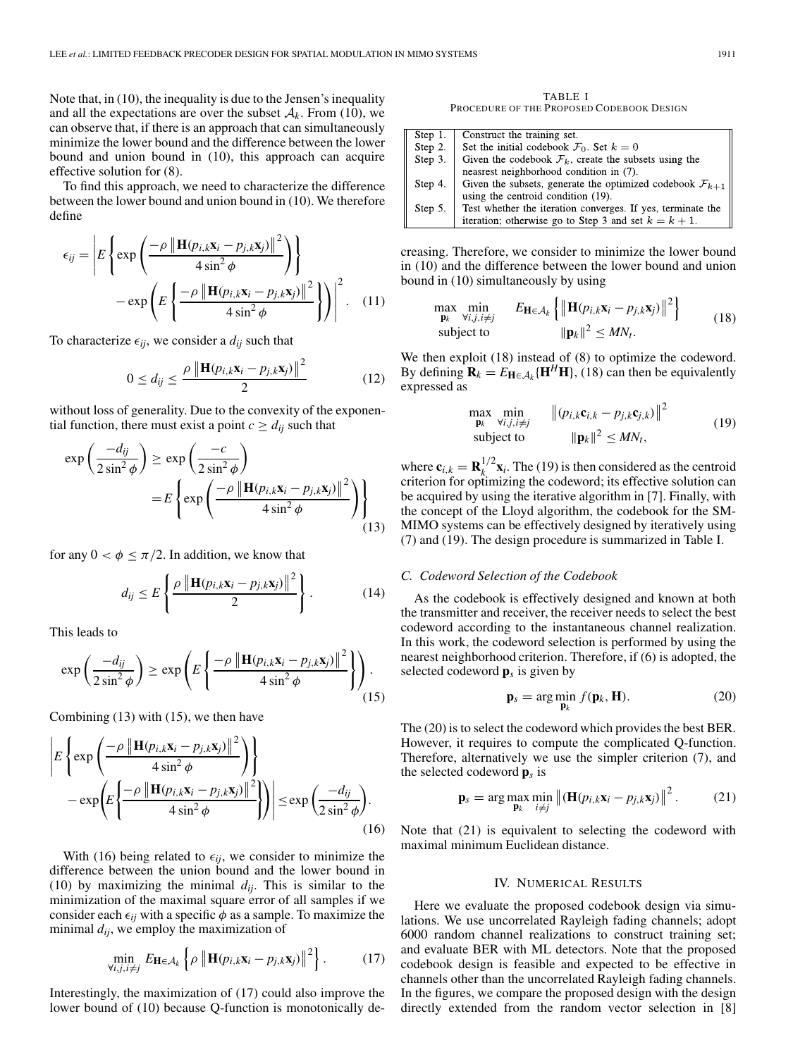Note that, in (10), the inequality is due to the Jensen's inequality and all the expectations are over the subset  $A_k$ . From (10), we can observe that, if there is an approach that can simultaneously minimize the lower bound and the difference between the lower bound and union bound in (10), this approach can acquire effective solution for (8).

To find this approach, we need to characterize the difference between the lower bound and union bound in (10). We therefore define

$$
\epsilon_{ij} = \left| E \left\{ \exp \left( \frac{-\rho \left\| \mathbf{H}(p_{i,k} \mathbf{x}_i - p_{j,k} \mathbf{x}_j) \right\|^2}{4 \sin^2 \phi} \right) \right\} - \exp \left( E \left\{ \frac{-\rho \left\| \mathbf{H}(p_{i,k} \mathbf{x}_i - p_{j,k} \mathbf{x}_j) \right\|^2}{4 \sin^2 \phi} \right\} \right) \right|^2. \quad (11)
$$

To characterize  $\epsilon_{ij}$ , we consider a  $d_{ij}$  such that

$$
0 \le d_{ij} \le \frac{\rho \left\| \mathbf{H}(p_{i,k} \mathbf{x}_i - p_{j,k} \mathbf{x}_j) \right\|^2}{2}
$$
 (12)

without loss of generality. Due to the convexity of the exponential function, there must exist a point  $c \ge d_{ij}$  such that

$$
\exp\left(\frac{-d_{ij}}{2\sin^2\phi}\right) \ge \exp\left(\frac{-c}{2\sin^2\phi}\right)
$$

$$
= E\left\{\exp\left(\frac{-\rho \left\|\mathbf{H}(p_{i,k}\mathbf{x}_i - p_{j,k}\mathbf{x}_j)\right\|^2}{4\sin^2\phi}\right)\right\}
$$
(13)

for any  $0 < \phi \leq \pi/2$ . In addition, we know that

$$
d_{ij} \le E\left\{\frac{\rho\left\|\mathbf{H}(p_{i,k}\mathbf{x}_i - p_{j,k}\mathbf{x}_j)\right\|^2}{2}\right\}.
$$
 (14)

This leads to

$$
\exp\left(\frac{-d_{ij}}{2\sin^2\phi}\right) \ge \exp\left(E\left\{\frac{-\rho \left\|\mathbf{H}(p_{i,k}\mathbf{x}_i - p_{j,k}\mathbf{x}_j)\right\|^2}{4\sin^2\phi}\right\}\right). \tag{15}
$$

Combining (13) with (15), we then have

$$
\left| E \left\{ \exp \left( \frac{-\rho \left\| \mathbf{H}(p_{i,k} \mathbf{x}_{i} - p_{j,k} \mathbf{x}_{j}) \right\|^{2}}{4 \sin^{2} \phi} \right) \right\} - \exp \left( E \left\{ \frac{-\rho \left\| \mathbf{H}(p_{i,k} \mathbf{x}_{i} - p_{j,k} \mathbf{x}_{j}) \right\|^{2}}{4 \sin^{2} \phi} \right\} \right) \right| \le \exp \left( \frac{-d_{ij}}{2 \sin^{2} \phi} \right). \tag{16}
$$

With (16) being related to  $\epsilon_{ij}$ , we consider to minimize the difference between the union bound and the lower bound in (10) by maximizing the minimal  $d_{ij}$ . This is similar to the minimization of the maximal square error of all samples if we consider each  $\epsilon_{ij}$  with a specific  $\phi$  as a sample. To maximize the minimal  $d_{ij}$ , we employ the maximization of

$$
\min_{\forall i,j,i\neq j} E_{\mathbf{H}\in\mathcal{A}_k} \left\{ \rho \left\| \mathbf{H}(p_{i,k}\mathbf{x}_i - p_{j,k}\mathbf{x}_j) \right\|^2 \right\}.
$$
 (17)

Interestingly, the maximization of (17) could also improve the lower bound of (10) because Q-function is monotonically de-

TABLE I PROCEDURE OF THE PROPOSED CODEBOOK DESIGN

| Step $1$ . | Construct the training set.                                            |
|------------|------------------------------------------------------------------------|
| Step 2.    | Set the initial codebook $\mathcal{F}_0$ . Set $k=0$                   |
| Step 3.    | Given the codebook $\mathcal{F}_k$ , create the subsets using the      |
|            | neasrest neighborhood condition in (7).                                |
| Step 4.    | Given the subsets, generate the optimized codebook $\mathcal{F}_{k+1}$ |
|            | using the centroid condition (19).                                     |
| Step 5.    | Test whether the iteration converges. If yes, terminate the            |
|            | iteration; otherwise go to Step 3 and set $k = k + 1$ .                |

creasing. Therefore, we consider to minimize the lower bound in (10) and the difference between the lower bound and union bound in (10) simultaneously by using

$$
\max_{\mathbf{p}_k} \min_{\substack{\forall i, j, i \neq j \\ \text{subject to}}} E_{\mathbf{H} \in \mathcal{A}_k} \left\{ \|\mathbf{H}(p_{i,k}\mathbf{x}_i - p_{j,k}\mathbf{x}_j)\|^2 \right\} \tag{18}
$$

We then exploit (18) instead of (8) to optimize the codeword. By defining  $\mathbf{R}_k = E_{\mathbf{H} \in \mathcal{A}_k} \{ \mathbf{H}^H \mathbf{H} \}$ , (18) can then be equivalently expressed as

$$
\max_{\mathbf{p}_k} \min_{\forall i, j, i \neq j} \| (p_{i,k} \mathbf{c}_{i,k} - p_{j,k} \mathbf{c}_{j,k}) \|^2
$$
\n
$$
\text{subject to} \qquad \| \mathbf{p}_k \|^2 \leq MN_t,
$$
\n
$$
(19)
$$

where  $\mathbf{c}_{i,k} = \mathbf{R}_k^{1/2} \mathbf{x}_i$ . The (19) is then considered as the centroid criterion for optimizing the codeword; its effective solution can be acquired by using the iterative algorithm in [7]. Finally, with the concept of the Lloyd algorithm, the codebook for the SM-MIMO systems can be effectively designed by iteratively using (7) and (19). The design procedure is summarized in Table I.

#### *C. Codeword Selection of the Codebook*

As the codebook is effectively designed and known at both the transmitter and receiver, the receiver needs to select the best codeword according to the instantaneous channel realization. In this work, the codeword selection is performed by using the nearest neighborhood criterion. Therefore, if (6) is adopted, the selected codeword **p***<sup>s</sup>* is given by

$$
\mathbf{p}_s = \arg\min_{\mathbf{p}_k} f(\mathbf{p}_k, \mathbf{H}).
$$
 (20)

The (20) is to select the codeword which provides the best BER. However, it requires to compute the complicated Q-function. Therefore, alternatively we use the simpler criterion (7), and the selected codeword **p***<sup>s</sup>* is

$$
\mathbf{p}_s = \arg \max_{\mathbf{p}_k} \min_{i \neq j} \left\| (\mathbf{H}(p_{i,k} \mathbf{x}_i - p_{j,k} \mathbf{x}_j)) \right\|^2. \tag{21}
$$

Note that (21) is equivalent to selecting the codeword with maximal minimum Euclidean distance.

### IV. NUMERICAL RESULTS

Here we evaluate the proposed codebook design via simulations. We use uncorrelated Rayleigh fading channels; adopt 6000 random channel realizations to construct training set; and evaluate BER with ML detectors. Note that the proposed codebook design is feasible and expected to be effective in channels other than the uncorrelated Rayleigh fading channels. In the figures, we compare the proposed design with the design directly extended from the random vector selection in [8]